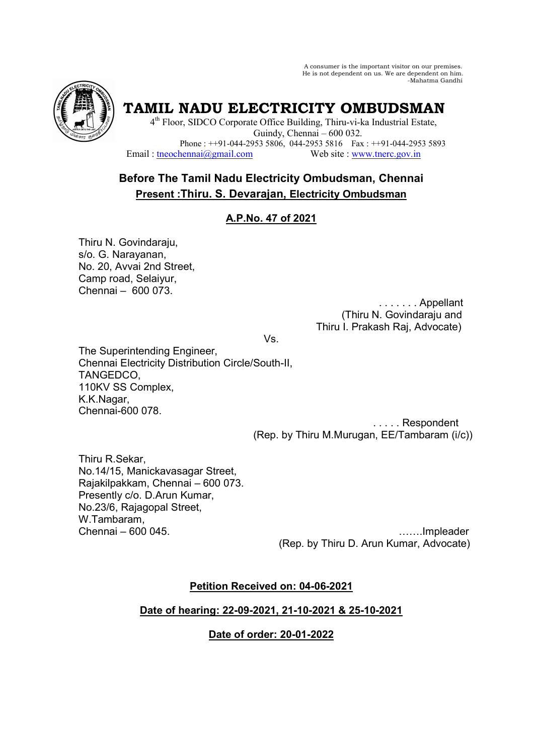A consumer is the important visitor on our premises. He is not dependent on us. We are dependent on him. -Mahatma Gandhi



**TAMIL NADU ELECTRICITY OMBUDSMAN** 

4<sup>th</sup> Floor, SIDCO Corporate Office Building, Thiru-vi-ka Industrial Estate, Guindy, Chennai – 600 032. Phone :  $+91-044-2953\,5806$ ,  $044-2953\,5816$  Fax :  $+91-044-2953\,5893$ <br>Email : theochennai $\omega$ gmail.com Web site : www.therc.gov.in Web site : www.tnerc.gov.in

# **Before The Tamil Nadu Electricity Ombudsman, Chennai Present :Thiru. S. Devarajan, Electricity Ombudsman**

# **A.P.No. 47 of 2021**

Thiru N. Govindaraju, s/o. G. Narayanan, No. 20, Avvai 2nd Street, Camp road, Selaiyur, Chennai – 600 073.

 . . . . . . . Appellant (Thiru N. Govindaraju and Thiru I. Prakash Raj, Advocate)

Vs.

The Superintending Engineer, Chennai Electricity Distribution Circle/South-II, TANGEDCO, 110KV SS Complex, K.K.Nagar, Chennai-600 078.

 . . . . . Respondent (Rep. by Thiru M.Murugan, EE/Tambaram (i/c))

Thiru R.Sekar, No.14/15, Manickavasagar Street, Rajakilpakkam, Chennai – 600 073. Presently c/o. D.Arun Kumar, No.23/6, Rajagopal Street, W.Tambaram,

Chennai – 600 045. (Rep. by Thiru D. Arun Kumar, Advocate)

# **Petition Received on: 04-06-2021**

## **Date of hearing: 22-09-2021, 21-10-2021 & 25-10-2021**

## **Date of order: 20-01-2022**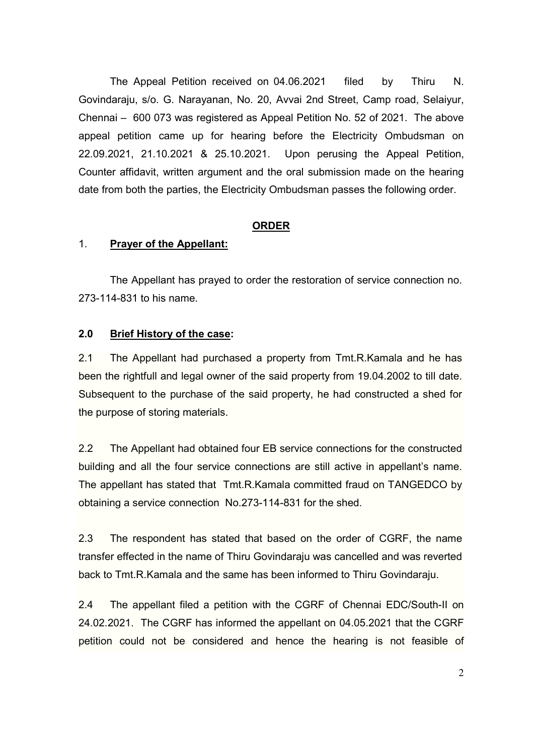The Appeal Petition received on 04.06.2021 filed by Thiru N. Govindaraju, s/o. G. Narayanan, No. 20, Avvai 2nd Street, Camp road, Selaiyur, Chennai – 600 073 was registered as Appeal Petition No. 52 of 2021. The above appeal petition came up for hearing before the Electricity Ombudsman on 22.09.2021, 21.10.2021 & 25.10.2021. Upon perusing the Appeal Petition, Counter affidavit, written argument and the oral submission made on the hearing date from both the parties, the Electricity Ombudsman passes the following order.

#### **ORDER**

#### 1. **Prayer of the Appellant:**

 The Appellant has prayed to order the restoration of service connection no. 273-114-831 to his name.

## **2.0 Brief History of the case:**

2.1 The Appellant had purchased a property from Tmt.R.Kamala and he has been the rightfull and legal owner of the said property from 19.04.2002 to till date. Subsequent to the purchase of the said property, he had constructed a shed for the purpose of storing materials.

2.2 The Appellant had obtained four EB service connections for the constructed building and all the four service connections are still active in appellant's name. The appellant has stated that Tmt.R.Kamala committed fraud on TANGEDCO by obtaining a service connection No.273-114-831 for the shed.

2.3 The respondent has stated that based on the order of CGRF, the name transfer effected in the name of Thiru Govindaraju was cancelled and was reverted back to Tmt.R.Kamala and the same has been informed to Thiru Govindaraju.

2.4 The appellant filed a petition with the CGRF of Chennai EDC/South-II on 24.02.2021. The CGRF has informed the appellant on 04.05.2021 that the CGRF petition could not be considered and hence the hearing is not feasible of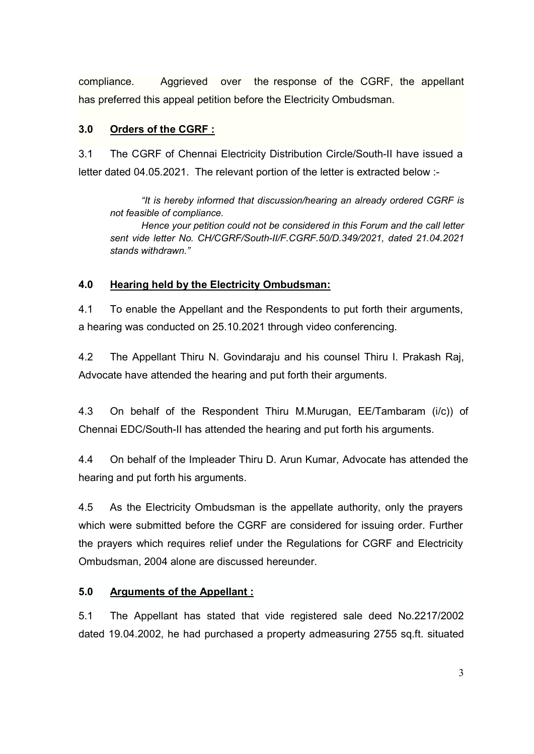compliance. Aggrieved over the response of the CGRF, the appellant has preferred this appeal petition before the Electricity Ombudsman.

## **3.0 Orders of the CGRF :**

3.1 The CGRF of Chennai Electricity Distribution Circle/South-II have issued a letter dated 04.05.2021. The relevant portion of the letter is extracted below :-

 *"It is hereby informed that discussion/hearing an already ordered CGRF is not feasible of compliance.* 

*Hence your petition could not be considered in this Forum and the call letter sent vide letter No. CH/CGRF/South-II/F.CGRF.50/D.349/2021, dated 21.04.2021 stands withdrawn."* 

## **4.0 Hearing held by the Electricity Ombudsman:**

4.1 To enable the Appellant and the Respondents to put forth their arguments, a hearing was conducted on 25.10.2021 through video conferencing.

4.2 The Appellant Thiru N. Govindaraju and his counsel Thiru I. Prakash Raj, Advocate have attended the hearing and put forth their arguments.

4.3 On behalf of the Respondent Thiru M.Murugan, EE/Tambaram (i/c)) of Chennai EDC/South-II has attended the hearing and put forth his arguments.

4.4 On behalf of the Impleader Thiru D. Arun Kumar, Advocate has attended the hearing and put forth his arguments.

4.5 As the Electricity Ombudsman is the appellate authority, only the prayers which were submitted before the CGRF are considered for issuing order. Further the prayers which requires relief under the Regulations for CGRF and Electricity Ombudsman, 2004 alone are discussed hereunder.

## **5.0 Arguments of the Appellant :**

5.1 The Appellant has stated that vide registered sale deed No.2217/2002 dated 19.04.2002, he had purchased a property admeasuring 2755 sq.ft. situated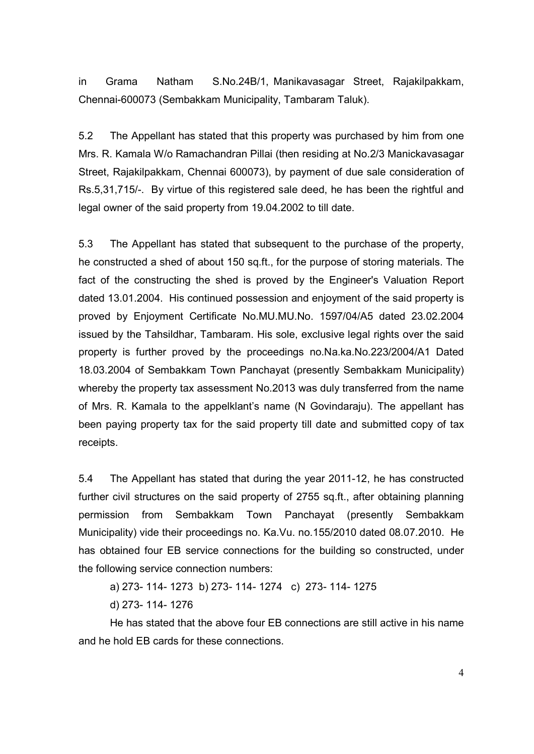in Grama Natham S.No.24B/1, Manikavasagar Street, Rajakilpakkam, Chennai-600073 (Sembakkam Municipality, Tambaram Taluk).

5.2 The Appellant has stated that this property was purchased by him from one Mrs. R. Kamala W/o Ramachandran Pillai (then residing at No.2/3 Manickavasagar Street, Rajakilpakkam, Chennai 600073), by payment of due sale consideration of Rs.5,31,715/-. By virtue of this registered sale deed, he has been the rightful and legal owner of the said property from 19.04.2002 to till date.

5.3 The Appellant has stated that subsequent to the purchase of the property, he constructed a shed of about 150 sq.ft., for the purpose of storing materials. The fact of the constructing the shed is proved by the Engineer's Valuation Report dated 13.01.2004. His continued possession and enjoyment of the said property is proved by Enjoyment Certificate No.MU.MU.No. 1597/04/A5 dated 23.02.2004 issued by the Tahsildhar, Tambaram. His sole, exclusive legal rights over the said property is further proved by the proceedings no.Na.ka.No.223/2004/A1 Dated 18.03.2004 of Sembakkam Town Panchayat (presently Sembakkam Municipality) whereby the property tax assessment No.2013 was duly transferred from the name of Mrs. R. Kamala to the appelklant's name (N Govindaraju). The appellant has been paying property tax for the said property till date and submitted copy of tax receipts.

5.4 The Appellant has stated that during the year 2011-12, he has constructed further civil structures on the said property of 2755 sq.ft., after obtaining planning permission from Sembakkam Town Panchayat (presently Sembakkam Municipality) vide their proceedings no. Ka.Vu. no.155/2010 dated 08.07.2010. He has obtained four EB service connections for the building so constructed, under the following service connection numbers:

a) 273- 114- 1273 b) 273- 114- 1274 c) 273- 114- 1275

d) 273- 114- 1276

He has stated that the above four EB connections are still active in his name and he hold EB cards for these connections.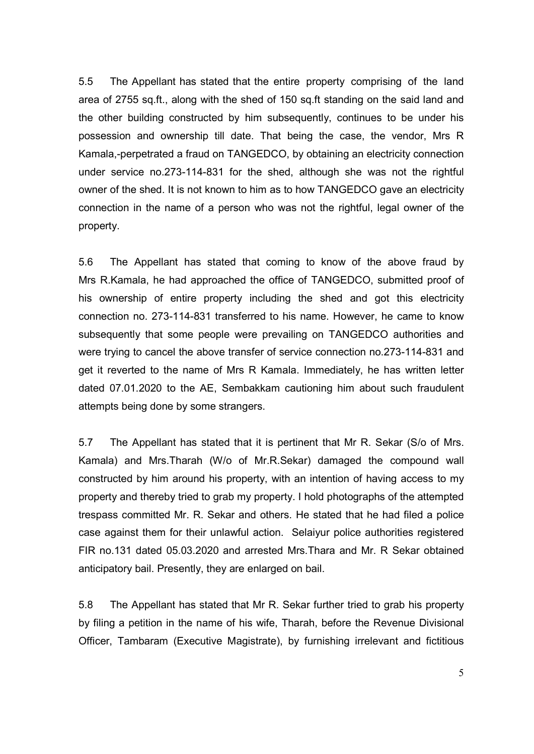5.5 The Appellant has stated that the entire property comprising of the land area of 2755 sq.ft., along with the shed of 150 sq.ft standing on the said land and the other building constructed by him subsequently, continues to be under his possession and ownership till date. That being the case, the vendor, Mrs R Kamala,-perpetrated a fraud on TANGEDCO, by obtaining an electricity connection under service no.273-114-831 for the shed, although she was not the rightful owner of the shed. It is not known to him as to how TANGEDCO gave an electricity connection in the name of a person who was not the rightful, legal owner of the property.

5.6 The Appellant has stated that coming to know of the above fraud by Mrs R.Kamala, he had approached the office of TANGEDCO, submitted proof of his ownership of entire property including the shed and got this electricity connection no. 273-114-831 transferred to his name. However, he came to know subsequently that some people were prevailing on TANGEDCO authorities and were trying to cancel the above transfer of service connection no.273-114-831 and get it reverted to the name of Mrs R Kamala. Immediately, he has written letter dated 07.01.2020 to the AE, Sembakkam cautioning him about such fraudulent attempts being done by some strangers.

5.7 The Appellant has stated that it is pertinent that Mr R. Sekar (S/o of Mrs. Kamala) and Mrs.Tharah (W/o of Mr.R.Sekar) damaged the compound wall constructed by him around his property, with an intention of having access to my property and thereby tried to grab my property. I hold photographs of the attempted trespass committed Mr. R. Sekar and others. He stated that he had filed a police case against them for their unlawful action. Selaiyur police authorities registered FIR no.131 dated 05.03.2020 and arrested Mrs.Thara and Mr. R Sekar obtained anticipatory bail. Presently, they are enlarged on bail.

5.8 The Appellant has stated that Mr R. Sekar further tried to grab his property by filing a petition in the name of his wife, Tharah, before the Revenue Divisional Officer, Tambaram (Executive Magistrate), by furnishing irrelevant and fictitious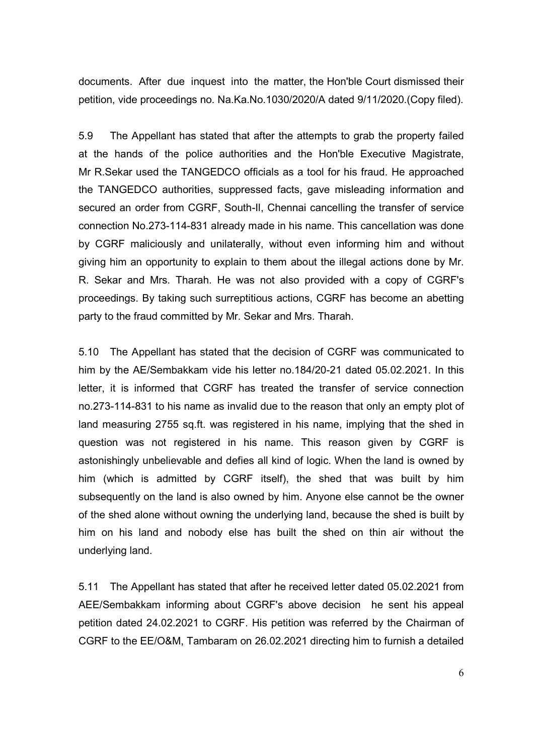documents. After due inquest into the matter, the Hon'ble Court dismissed their petition, vide proceedings no. Na.Ka.No.1030/2020/A dated 9/11/2020.(Copy filed).

5.9 The Appellant has stated that after the attempts to grab the property failed at the hands of the police authorities and the Hon'ble Executive Magistrate, Mr R.Sekar used the TANGEDCO officials as a tool for his fraud. He approached the TANGEDCO authorities, suppressed facts, gave misleading information and secured an order from CGRF, South-Il, Chennai cancelling the transfer of service connection No.273-114-831 already made in his name. This cancellation was done by CGRF maliciously and unilaterally, without even informing him and without giving him an opportunity to explain to them about the illegal actions done by Mr. R. Sekar and Mrs. Tharah. He was not also provided with a copy of CGRF's proceedings. By taking such surreptitious actions, CGRF has become an abetting party to the fraud committed by Mr. Sekar and Mrs. Tharah.

5.10 The Appellant has stated that the decision of CGRF was communicated to him by the AE/Sembakkam vide his letter no.184/20-21 dated 05.02.2021. In this letter, it is informed that CGRF has treated the transfer of service connection no.273-114-831 to his name as invalid due to the reason that only an empty plot of land measuring 2755 sq.ft. was registered in his name, implying that the shed in question was not registered in his name. This reason given by CGRF is astonishingly unbelievable and defies all kind of logic. When the land is owned by him (which is admitted by CGRF itself), the shed that was built by him subsequently on the land is also owned by him. Anyone else cannot be the owner of the shed alone without owning the underlying land, because the shed is built by him on his land and nobody else has built the shed on thin air without the underlying land.

5.11 The Appellant has stated that after he received letter dated 05.02.2021 from AEE/Sembakkam informing about CGRF's above decision he sent his appeal petition dated 24.02.2021 to CGRF. His petition was referred by the Chairman of CGRF to the EE/O&M, Tambaram on 26.02.2021 directing him to furnish a detailed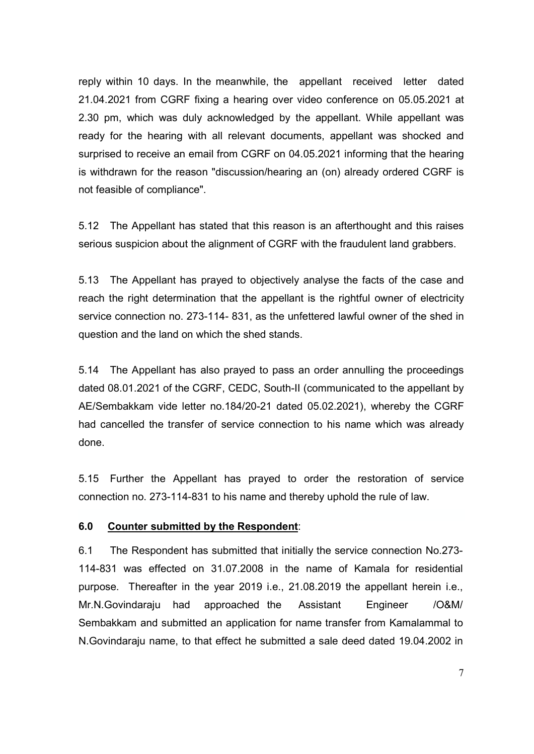reply within 10 days. In the meanwhile, the appellant received letter dated 21.04.2021 from CGRF fixing a hearing over video conference on 05.05.2021 at 2.30 pm, which was duly acknowledged by the appellant. While appellant was ready for the hearing with all relevant documents, appellant was shocked and surprised to receive an email from CGRF on 04.05.2021 informing that the hearing is withdrawn for the reason "discussion/hearing an (on) already ordered CGRF is not feasible of compliance".

5.12 The Appellant has stated that this reason is an afterthought and this raises serious suspicion about the alignment of CGRF with the fraudulent land grabbers.

5.13 The Appellant has prayed to objectively analyse the facts of the case and reach the right determination that the appellant is the rightful owner of electricity service connection no. 273-114- 831, as the unfettered lawful owner of the shed in question and the land on which the shed stands.

5.14 The Appellant has also prayed to pass an order annulling the proceedings dated 08.01.2021 of the CGRF, CEDC, South-II (communicated to the appellant by AE/Sembakkam vide letter no.184/20-21 dated 05.02.2021), whereby the CGRF had cancelled the transfer of service connection to his name which was already done.

5.15 Further the Appellant has prayed to order the restoration of service connection no. 273-114-831 to his name and thereby uphold the rule of law.

## **6.0 Counter submitted by the Respondent**:

6.1 The Respondent has submitted that initially the service connection No.273- 114-831 was effected on 31.07.2008 in the name of Kamala for residential purpose. Thereafter in the year 2019 i.e., 21.08.2019 the appellant herein i.e., Mr.N.Govindaraju had approached the Assistant Engineer /O&M/ Sembakkam and submitted an application for name transfer from Kamalammal to N.Govindaraju name, to that effect he submitted a sale deed dated 19.04.2002 in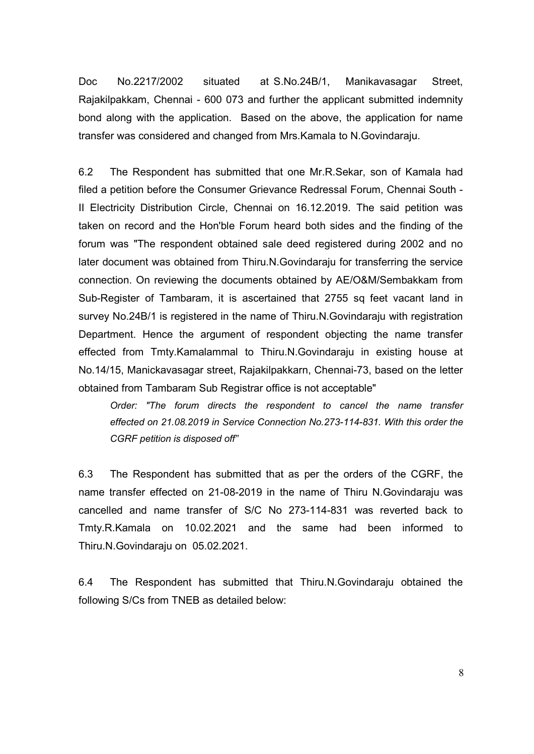Doc No.2217/2002 situated at S.No.24B/1, Manikavasagar Street, Rajakilpakkam, Chennai - 600 073 and further the applicant submitted indemnity bond along with the application. Based on the above, the application for name transfer was considered and changed from Mrs.Kamala to N.Govindaraju.

6.2 The Respondent has submitted that one Mr.R.Sekar, son of Kamala had filed a petition before the Consumer Grievance Redressal Forum, Chennai South - II Electricity Distribution Circle, Chennai on 16.12.2019. The said petition was taken on record and the Hon'ble Forum heard both sides and the finding of the forum was "The respondent obtained sale deed registered during 2002 and no later document was obtained from Thiru.N.Govindaraju for transferring the service connection. On reviewing the documents obtained by AE/O&M/Sembakkam from Sub-Register of Tambaram, it is ascertained that 2755 sq feet vacant land in survey No.24B/1 is registered in the name of Thiru.N.Govindaraju with registration Department. Hence the argument of respondent objecting the name transfer effected from Tmty.Kamalammal to Thiru.N.Govindaraju in existing house at No.14/15, Manickavasagar street, Rajakilpakkarn, Chennai-73, based on the letter obtained from Tambaram Sub Registrar office is not acceptable"

*Order: "The forum directs the respondent to cancel the name transfer effected on 21.08.2019 in Service Connection No.273-114-831. With this order the CGRF petition is disposed off"* 

6.3 The Respondent has submitted that as per the orders of the CGRF, the name transfer effected on 21-08-2019 in the name of Thiru N.Govindaraju was cancelled and name transfer of S/C No 273-114-831 was reverted back to Tmty.R.Kamala on 10.02.2021 and the same had been informed to Thiru.N.Govindaraju on 05.02.2021.

6.4 The Respondent has submitted that Thiru.N.Govindaraju obtained the following S/Cs from TNEB as detailed below: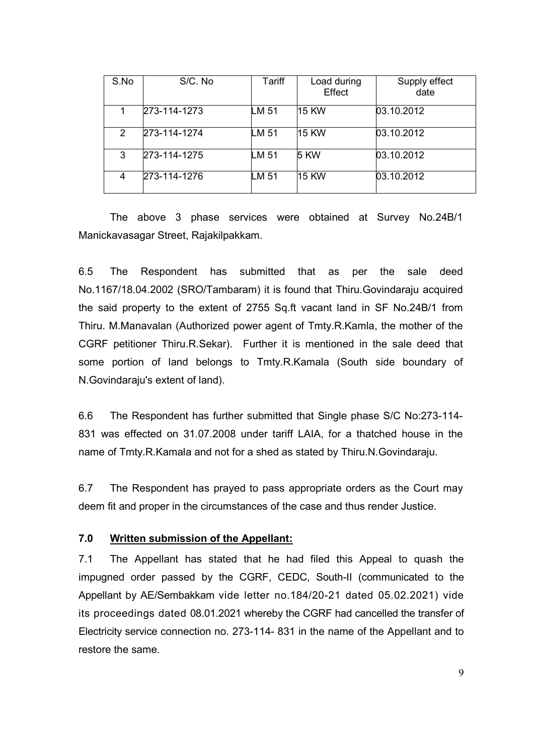| S.No           | S/C. No      | Tariff | Load during<br>Effect | Supply effect<br>date |
|----------------|--------------|--------|-----------------------|-----------------------|
|                | 273-114-1273 | LM 51  | 15 KW                 | 03.10.2012            |
| $\overline{2}$ | 273-114-1274 | LM 51  | <b>15 KW</b>          | 03.10.2012            |
| 3              | 273-114-1275 | LM 51  | <b>5 KW</b>           | 03.10.2012            |
| 4              | 273-114-1276 | LM 51  | 15 KW                 | 03.10.2012            |

The above 3 phase services were obtained at Survey No.24B/1 Manickavasagar Street, Rajakilpakkam.

6.5 The Respondent has submitted that as per the sale deed No.1167/18.04.2002 (SRO/Tambaram) it is found that Thiru.Govindaraju acquired the said property to the extent of 2755 Sq.ft vacant land in SF No.24B/1 from Thiru. M.Manavalan (Authorized power agent of Tmty.R.Kamla, the mother of the CGRF petitioner Thiru.R.Sekar). Further it is mentioned in the sale deed that some portion of land belongs to Tmty.R.Kamala (South side boundary of N.Govindaraju's extent of land).

6.6 The Respondent has further submitted that Single phase S/C No:273-114- 831 was effected on 31.07.2008 under tariff LAIA, for a thatched house in the name of Tmty.R.Kamala and not for a shed as stated by Thiru.N.Govindaraju.

6.7 The Respondent has prayed to pass appropriate orders as the Court may deem fit and proper in the circumstances of the case and thus render Justice.

# **7.0 Written submission of the Appellant:**

7.1 The Appellant has stated that he had filed this Appeal to quash the impugned order passed by the CGRF, CEDC, South-II (communicated to the Appellant by AE/Sembakkam vide letter no.184/20-21 dated 05.02.2021) vide its proceedings dated 08.01.2021 whereby the CGRF had cancelled the transfer of Electricity service connection no. 273-114- 831 in the name of the Appellant and to restore the same.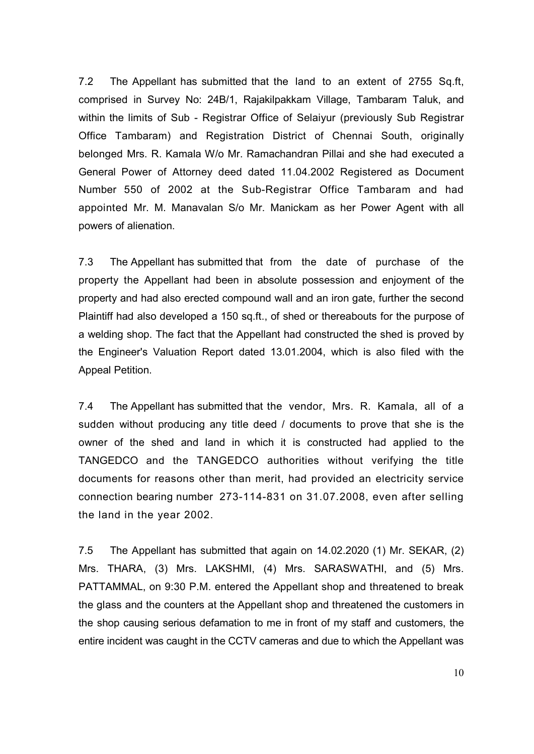7.2 The Appellant has submitted that the land to an extent of 2755 Sq.ft, comprised in Survey No: 24B/1, Rajakilpakkam Village, Tambaram Taluk, and within the limits of Sub - Registrar Office of Selaiyur (previously Sub Registrar Office Tambaram) and Registration District of Chennai South, originally belonged Mrs. R. Kamala W/o Mr. Ramachandran Pillai and she had executed a General Power of Attorney deed dated 11.04.2002 Registered as Document Number 550 of 2002 at the Sub-Registrar Office Tambaram and had appointed Mr. M. Manavalan S/o Mr. Manickam as her Power Agent with all powers of alienation.

7.3 The Appellant has submitted that from the date of purchase of the property the Appellant had been in absolute possession and enjoyment of the property and had also erected compound wall and an iron gate, further the second Plaintiff had also developed a 150 sq.ft., of shed or thereabouts for the purpose of a welding shop. The fact that the Appellant had constructed the shed is proved by the Engineer's Valuation Report dated 13.01.2004, which is also filed with the Appeal Petition.

7.4 The Appellant has submitted that the vendor, Mrs. R. Kamala, all of a sudden without producing any title deed / documents to prove that she is the owner of the shed and land in which it is constructed had applied to the TANGEDCO and the TANGEDCO authorities without verifying the title documents for reasons other than merit, had provided an electricity service connection bearing number 273-114-831 on 31.07.2008, even after selling the land in the year 2002.

7.5 The Appellant has submitted that again on 14.02.2020 (1) Mr. SEKAR, (2) Mrs. THARA, (3) Mrs. LAKSHMI, (4) Mrs. SARASWATHI, and (5) Mrs. PATTAMMAL, on 9:30 P.M. entered the Appellant shop and threatened to break the glass and the counters at the Appellant shop and threatened the customers in the shop causing serious defamation to me in front of my staff and customers, the entire incident was caught in the CCTV cameras and due to which the Appellant was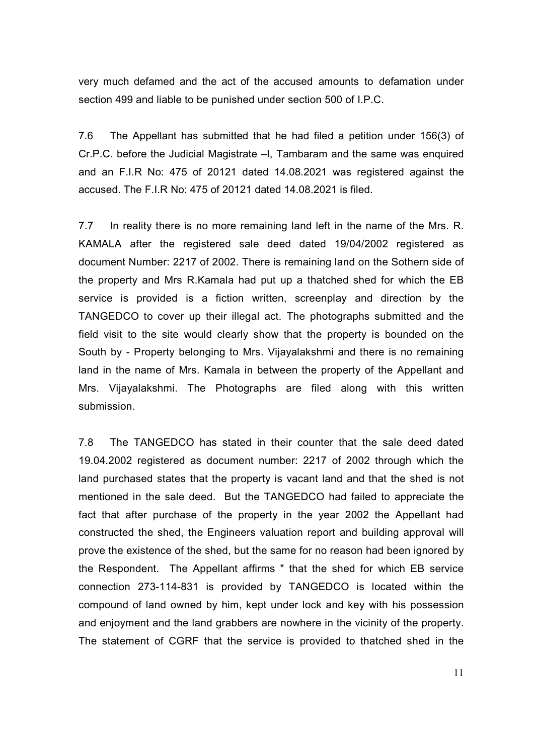very much defamed and the act of the accused amounts to defamation under section 499 and liable to be punished under section 500 of I.P.C.

7.6 The Appellant has submitted that he had filed a petition under 156(3) of Cr.P.C. before the Judicial Magistrate –I, Tambaram and the same was enquired and an F.I.R No: 475 of 20121 dated 14.08.2021 was registered against the accused. The F.I.R No: 475 of 20121 dated 14.08.2021 is filed.

7.7 In reality there is no more remaining land left in the name of the Mrs. R. KAMALA after the registered sale deed dated 19/04/2002 registered as document Number: 2217 of 2002. There is remaining land on the Sothern side of the property and Mrs R.Kamala had put up a thatched shed for which the EB service is provided is a fiction written, screenplay and direction by the TANGEDCO to cover up their illegal act. The photographs submitted and the field visit to the site would clearly show that the property is bounded on the South by - Property belonging to Mrs. Vijayalakshmi and there is no remaining land in the name of Mrs. Kamala in between the property of the Appellant and Mrs. Vijayalakshmi. The Photographs are filed along with this written submission.

7.8 The TANGEDCO has stated in their counter that the sale deed dated 19.04.2002 registered as document number: 2217 of 2002 through which the land purchased states that the property is vacant land and that the shed is not mentioned in the sale deed. But the TANGEDCO had failed to appreciate the fact that after purchase of the property in the year 2002 the Appellant had constructed the shed, the Engineers valuation report and building approval will prove the existence of the shed, but the same for no reason had been ignored by the Respondent. The Appellant affirms " that the shed for which EB service connection 273-114-831 is provided by TANGEDCO is located within the compound of land owned by him, kept under lock and key with his possession and enjoyment and the land grabbers are nowhere in the vicinity of the property. The statement of CGRF that the service is provided to thatched shed in the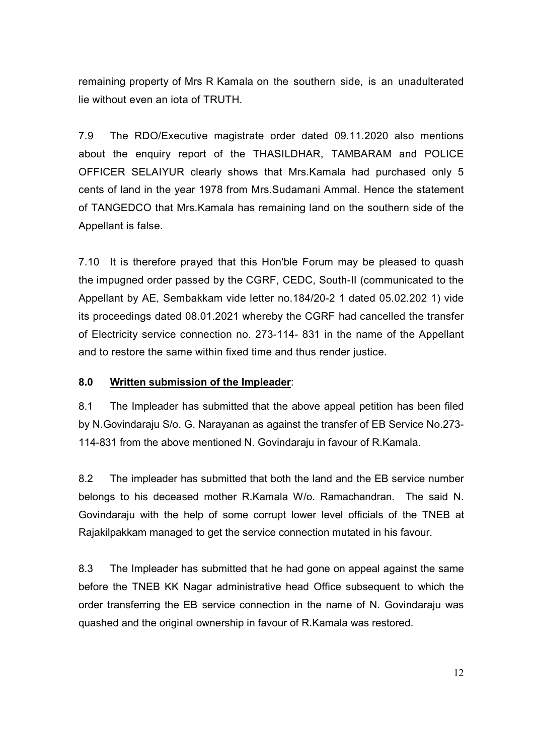remaining property of Mrs R Kamala on the southern side, is an unadulterated lie without even an iota of TRUTH.

7.9 The RDO/Executive magistrate order dated 09.11.2020 also mentions about the enquiry report of the THASILDHAR, TAMBARAM and POLICE OFFICER SELAIYUR clearly shows that Mrs.Kamala had purchased only 5 cents of land in the year 1978 from Mrs.Sudamani Ammal. Hence the statement of TANGEDCO that Mrs.Kamala has remaining land on the southern side of the Appellant is false.

7.10 It is therefore prayed that this Hon'ble Forum may be pleased to quash the impugned order passed by the CGRF, CEDC, South-II (communicated to the Appellant by AE, Sembakkam vide letter no.184/20-2 1 dated 05.02.202 1) vide its proceedings dated 08.01.2021 whereby the CGRF had cancelled the transfer of Electricity service connection no. 273-114- 831 in the name of the Appellant and to restore the same within fixed time and thus render justice.

## **8.0 Written submission of the Impleader**:

8.1 The Impleader has submitted that the above appeal petition has been filed by N.Govindaraju S/o. G. Narayanan as against the transfer of EB Service No.273- 114-831 from the above mentioned N. Govindaraju in favour of R.Kamala.

8.2 The impleader has submitted that both the land and the EB service number belongs to his deceased mother R.Kamala W/o. Ramachandran. The said N. Govindaraju with the help of some corrupt lower level officials of the TNEB at Rajakilpakkam managed to get the service connection mutated in his favour.

8.3 The Impleader has submitted that he had gone on appeal against the same before the TNEB KK Nagar administrative head Office subsequent to which the order transferring the EB service connection in the name of N. Govindaraju was quashed and the original ownership in favour of R.Kamala was restored.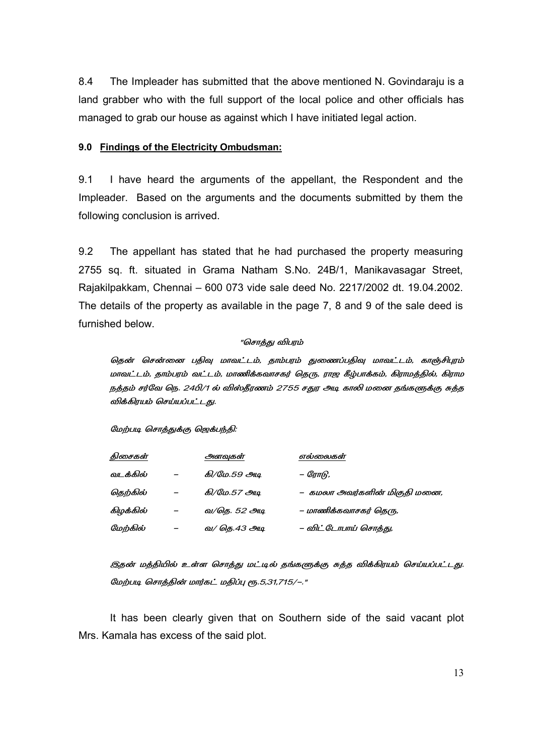8.4 The Impleader has submitted that the above mentioned N. Govindaraju is a land grabber who with the full support of the local police and other officials has managed to grab our house as against which I have initiated legal action.

#### **9.0 Findings of the Electricity Ombudsman:**

9.1 I have heard the arguments of the appellant, the Respondent and the Impleader. Based on the arguments and the documents submitted by them the following conclusion is arrived.

9.2 The appellant has stated that he had purchased the property measuring 2755 sq. ft. situated in Grama Natham S.No. 24B/1, Manikavasagar Street, Rajakilpakkam, Chennai – 600 073 vide sale deed No. 2217/2002 dt. 19.04.2002. The details of the property as available in the page 7, 8 and 9 of the sale deed is furnished below.

#### "சொத்து விபரம்

தென் சென்னை பதிவு மாவட்டம், தாம்பரம் துணைப்பதிவு மாவட்டம், காஞ்சிபுரம் மாவட்டம், தாம்பரம் வட்டம், மாணிக்கவாசகர் தெரு, ராஜ கீழ்பாக்கம், கிராமத்தில், கிராம நத்தம் சர்வே நெ. 24பி/1 ல் விஸ்தீரணம் 2755 சதுர அடி காலி மனை தங்களுக்கு சுத்த விக்கிரயம் செய்யப்பட்டது.

#### மேற்படி சொத்துக்கு ஜெக்பந்தி:

| திசைகள்   | அளவுகள்              | எல்லைகள்                     |
|-----------|----------------------|------------------------------|
| வடக்கில்  | கி/மே.59 அ <u>டி</u> | – ரோடு,                      |
| தெற்கில்  | கி/மே.57 அ <u>டி</u> | – கமலா அவர்களின் மிகுதி மனை, |
| கிழக்கில் | வ/கெ. 52 அடி         | – மாணிக்கவாசகர் தெரு,        |
| மேற்கில்  | வ/ தெ.43 அடி         | – விட்டோபாய் சொத்து,         |

இதன் மத்தியில் உள்ள சொத்து மட்டில் தங்களுக்கு சுத்த விக்கிரயம் செய்யப்பட்டது. மேற்படி சொத்தின் மார்கட் மதிப்பு ரூ.5,31,715/-."

 It has been clearly given that on Southern side of the said vacant plot Mrs. Kamala has excess of the said plot.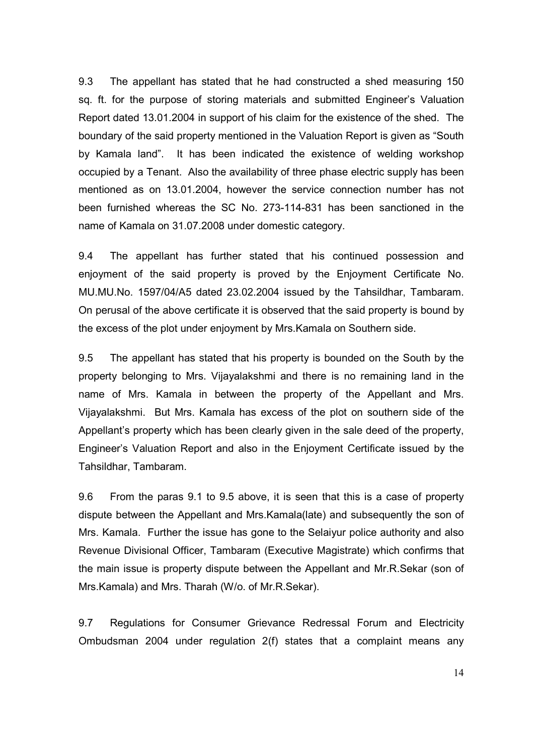9.3 The appellant has stated that he had constructed a shed measuring 150 sq. ft. for the purpose of storing materials and submitted Engineer's Valuation Report dated 13.01.2004 in support of his claim for the existence of the shed. The boundary of the said property mentioned in the Valuation Report is given as "South by Kamala land". It has been indicated the existence of welding workshop occupied by a Tenant. Also the availability of three phase electric supply has been mentioned as on 13.01.2004, however the service connection number has not been furnished whereas the SC No. 273-114-831 has been sanctioned in the name of Kamala on 31.07.2008 under domestic category.

9.4 The appellant has further stated that his continued possession and enjoyment of the said property is proved by the Enjoyment Certificate No. MU.MU.No. 1597/04/A5 dated 23.02.2004 issued by the Tahsildhar, Tambaram. On perusal of the above certificate it is observed that the said property is bound by the excess of the plot under enjoyment by Mrs.Kamala on Southern side.

9.5 The appellant has stated that his property is bounded on the South by the property belonging to Mrs. Vijayalakshmi and there is no remaining land in the name of Mrs. Kamala in between the property of the Appellant and Mrs. Vijayalakshmi. But Mrs. Kamala has excess of the plot on southern side of the Appellant's property which has been clearly given in the sale deed of the property, Engineer's Valuation Report and also in the Enjoyment Certificate issued by the Tahsildhar, Tambaram.

9.6 From the paras 9.1 to 9.5 above, it is seen that this is a case of property dispute between the Appellant and Mrs.Kamala(late) and subsequently the son of Mrs. Kamala. Further the issue has gone to the Selaiyur police authority and also Revenue Divisional Officer, Tambaram (Executive Magistrate) which confirms that the main issue is property dispute between the Appellant and Mr.R.Sekar (son of Mrs.Kamala) and Mrs. Tharah (W/o. of Mr.R.Sekar).

9.7 Regulations for Consumer Grievance Redressal Forum and Electricity Ombudsman 2004 under regulation 2(f) states that a complaint means any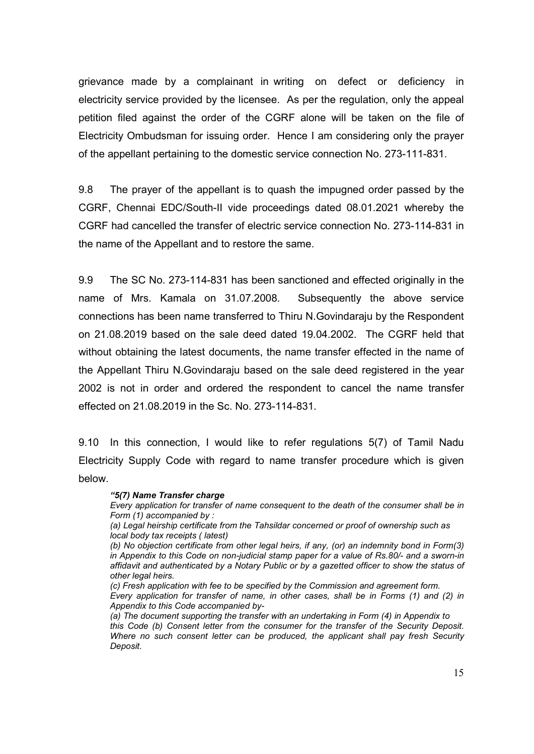grievance made by a complainant in writing on defect or deficiency in electricity service provided by the licensee. As per the regulation, only the appeal petition filed against the order of the CGRF alone will be taken on the file of Electricity Ombudsman for issuing order. Hence I am considering only the prayer of the appellant pertaining to the domestic service connection No. 273-111-831.

9.8 The prayer of the appellant is to quash the impugned order passed by the CGRF, Chennai EDC/South-II vide proceedings dated 08.01.2021 whereby the CGRF had cancelled the transfer of electric service connection No. 273-114-831 in the name of the Appellant and to restore the same.

9.9 The SC No. 273-114-831 has been sanctioned and effected originally in the name of Mrs. Kamala on 31.07.2008. Subsequently the above service connections has been name transferred to Thiru N.Govindaraju by the Respondent on 21.08.2019 based on the sale deed dated 19.04.2002. The CGRF held that without obtaining the latest documents, the name transfer effected in the name of the Appellant Thiru N.Govindaraju based on the sale deed registered in the year 2002 is not in order and ordered the respondent to cancel the name transfer effected on 21.08.2019 in the Sc. No. 273-114-831.

9.10 In this connection, I would like to refer regulations 5(7) of Tamil Nadu Electricity Supply Code with regard to name transfer procedure which is given below.

#### *"5(7) Name Transfer charge*

*Every application for transfer of name consequent to the death of the consumer shall be in Form (1) accompanied by :* 

*(a) Legal heirship certificate from the Tahsildar concerned or proof of ownership such as local body tax receipts ( latest)* 

*(b) No objection certificate from other legal heirs, if any, (or) an indemnity bond in Form(3) in Appendix to this Code on non-judicial stamp paper for a value of Rs.80/- and a sworn-in affidavit and authenticated by a Notary Public or by a gazetted officer to show the status of other legal heirs.* 

*(c) Fresh application with fee to be specified by the Commission and agreement form.* 

*Every application for transfer of name, in other cases, shall be in Forms (1) and (2) in Appendix to this Code accompanied by-* 

*(a) The document supporting the transfer with an undertaking in Form (4) in Appendix to this Code (b) Consent letter from the consumer for the transfer of the Security Deposit. Where no such consent letter can be produced, the applicant shall pay fresh Security Deposit.*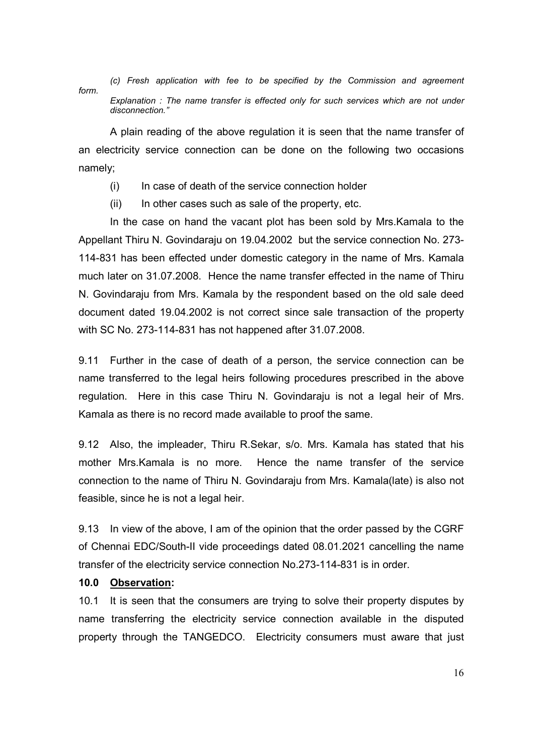*(c) Fresh application with fee to be specified by the Commission and agreement form. Explanation : The name transfer is effected only for such services which are not under disconnection."*

 A plain reading of the above regulation it is seen that the name transfer of an electricity service connection can be done on the following two occasions namely;

- (i) In case of death of the service connection holder
- $(ii)$  In other cases such as sale of the property, etc.

 In the case on hand the vacant plot has been sold by Mrs.Kamala to the Appellant Thiru N. Govindaraju on 19.04.2002 but the service connection No. 273- 114-831 has been effected under domestic category in the name of Mrs. Kamala much later on 31.07.2008. Hence the name transfer effected in the name of Thiru N. Govindaraju from Mrs. Kamala by the respondent based on the old sale deed document dated 19.04.2002 is not correct since sale transaction of the property with SC No. 273-114-831 has not happened after 31.07.2008.

9.11 Further in the case of death of a person, the service connection can be name transferred to the legal heirs following procedures prescribed in the above regulation. Here in this case Thiru N. Govindaraju is not a legal heir of Mrs. Kamala as there is no record made available to proof the same.

9.12 Also, the impleader, Thiru R.Sekar, s/o. Mrs. Kamala has stated that his mother Mrs.Kamala is no more. Hence the name transfer of the service connection to the name of Thiru N. Govindaraju from Mrs. Kamala(late) is also not feasible, since he is not a legal heir.

9.13 In view of the above, I am of the opinion that the order passed by the CGRF of Chennai EDC/South-II vide proceedings dated 08.01.2021 cancelling the name transfer of the electricity service connection No.273-114-831 is in order.

#### **10.0 Observation:**

10.1 It is seen that the consumers are trying to solve their property disputes by name transferring the electricity service connection available in the disputed property through the TANGEDCO. Electricity consumers must aware that just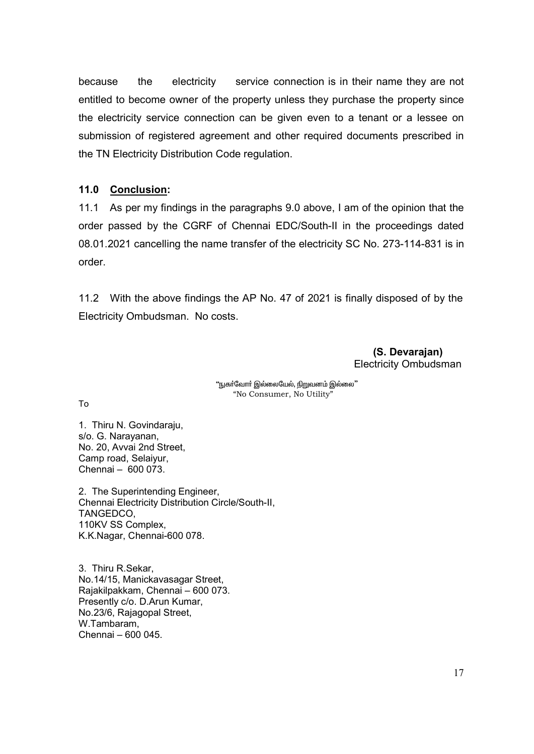because the electricity service connection is in their name they are not entitled to become owner of the property unless they purchase the property since the electricity service connection can be given even to a tenant or a lessee on submission of registered agreement and other required documents prescribed in the TN Electricity Distribution Code regulation.

## **11.0 Conclusion:**

11.1 As per my findings in the paragraphs 9.0 above, I am of the opinion that the order passed by the CGRF of Chennai EDC/South-II in the proceedings dated 08.01.2021 cancelling the name transfer of the electricity SC No. 273-114-831 is in order.

11.2 With the above findings the AP No. 47 of 2021 is finally disposed of by the Electricity Ombudsman. No costs.

> **(S. Devarajan)**  Electricity Ombudsman

"நுகா்வோா் இல்லையேல், நிறுவனம் இல்லை" "No Consumer, No Utility"

To

1. Thiru N. Govindaraju, s/o. G. Narayanan, No. 20, Avvai 2nd Street, Camp road, Selaiyur, Chennai – 600 073.

2. The Superintending Engineer, Chennai Electricity Distribution Circle/South-II, TANGEDCO, 110KV SS Complex, K.K.Nagar, Chennai-600 078.

3. Thiru R.Sekar, No.14/15, Manickavasagar Street, Rajakilpakkam, Chennai – 600 073. Presently c/o. D.Arun Kumar, No.23/6, Rajagopal Street, W.Tambaram, Chennai – 600 045.